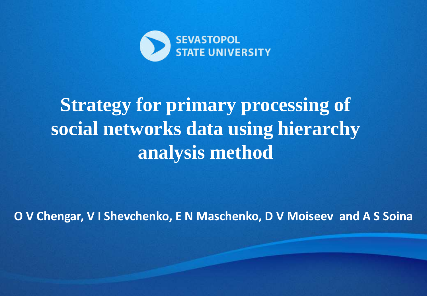

## **Strategy for primary processing of social networks data using hierarchy analysis method**

**O V Chengar, V I Shevchenko, E N Maschenko, D V Moiseev and A S Soina**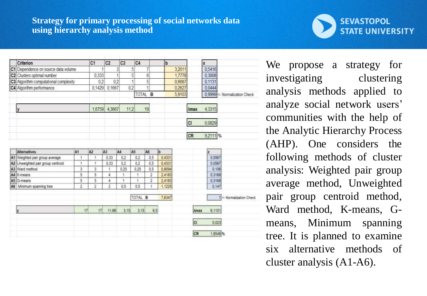## **Strategy for primary processing of social networks data using hierarchy analysis method**

|  | Criterion                             |        | C1             | C <sub>2</sub> | C3   | C <sub>4</sub> |                | b      |                           | x        |                               |
|--|---------------------------------------|--------|----------------|----------------|------|----------------|----------------|--------|---------------------------|----------|-------------------------------|
|  | C1 Dependence on source data volume   |        | 1              |                | 3    | 5              | 7              | 3,2011 |                           | 0,5416   |                               |
|  | C2 Clusters optimal number            |        | 0.333          |                | 1    | 5              | 6              | 1,7778 |                           | 0.3008   |                               |
|  | C3 Algorithm computational complexity |        | 02             | 0.2            |      | 1              | 5              | 0,6687 |                           | 0,1131   |                               |
|  | C4 Algorithm performance              | 0,1429 | 0,1667         |                | 02   | ŧ              | 0,2627         |        | 0.0444                    |          |                               |
|  |                                       |        |                |                |      |                | TOTAL B        | 5,9103 |                           |          | 0,9999 <- Normalization Check |
|  | <b>y</b>                              |        |                | 1,6759 4,3667  | 112  |                | 19             |        | <b><i><u>Amax</u></i></b> | 4,3315   |                               |
|  |                                       |        |                |                |      |                |                |        | <b>CI</b>                 | 0,0829   |                               |
|  |                                       |        |                |                |      |                |                |        | CR                        | 9,2111 % |                               |
|  | <b>Alternatives</b>                   | A1     | A <sub>2</sub> | A <sub>3</sub> | A4   | A5             | A6             | b      |                           | z        |                               |
|  | A1 Weighted pair group average        | ٠      | ۹              | 0.33           | 0.2  | 0.2            | 0.5            | 0.4331 |                           | 0.0567   |                               |
|  | A2 Unweighted pair group centroid     | 1      | t              | 0.33           | 0.2  | 0.2            | 0.5            | 0.4331 |                           | 0.0567   |                               |
|  | A3 Ward method                        | 3      | 3              | 1              | 0.25 | 0.25           | 0.5            | 0.8094 |                           | 0.106    |                               |
|  | A4 K-means                            | 5      | 5              | 4              | ٠    | ÷              | $\overline{2}$ | 2,4183 |                           | 0,3168   |                               |
|  | A5 G-means                            | 5      | 5              | 4              | ٠    | 1              | 2              | 2,4183 |                           | 0,3168   |                               |
|  | A6 Minimum spanning tree              | 2      | 2              | 2              | 0.5  | 0.5            | 1              | 1,1225 |                           | 0.147    |                               |
|  |                                       |        |                |                |      | TOTAL B        |                | 7,6347 |                           |          | 1 <- Normalization Check      |
|  | ly                                    | 17     | 17             | 11,66          | 3,15 | 3.15           | 6.5            |        | <b>Amax</b>               | 6,1151   |                               |
|  |                                       |        |                |                |      |                |                |        | cı                        | 0,023    |                               |
|  |                                       |        |                |                |      |                |                |        | CR                        | 1,6548 % |                               |

We propose a strategy for investigating clustering analysis methods applied to analyze social network users' communities with the help of the Analytic Hierarchy Process (AHP). One considers the following methods of cluster analysis: Weighted pair group average method, Unweighted pair group centroid method, Ward method, K-means, Gmeans, Minimum spanning tree. It is planned to examine six alternative methods of cluster analysis (A1-A6).

**SEVASTOPOL** 

**STATE UNIVERSITY**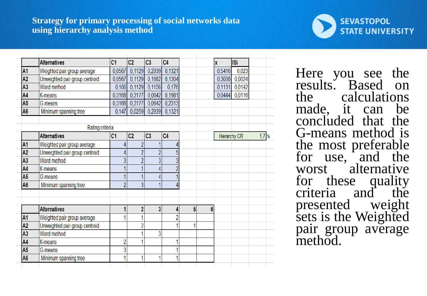

|                | <b>Alternatives</b>            | C <sub>1</sub> | C2             | C3                      | C <sub>4</sub> |   |   | $\mathbf x$  | <b>ISi</b> |         |
|----------------|--------------------------------|----------------|----------------|-------------------------|----------------|---|---|--------------|------------|---------|
| A <sub>1</sub> | Weighted pair group average    | 0,0567         | 0,1129         | 0,2939                  | 0,1321         |   |   | 0,5416       | 0,023      |         |
| A <sub>2</sub> | Unweighted pair group centroid | 0,0567         | 0,1129         | 0,1682                  | 0,1304         |   |   | 0,3008       | 0,0024     |         |
| A <sub>3</sub> | Ward method                    | 0,106          | 0,1129         | 0,1156                  | 0,176          |   |   | 0,1131       | 0,0142     |         |
| A4             | K-means                        | 0,3168         | 0,3177         | 0,0642                  | 0,1981         |   |   | 0,0444       | 0,0116     |         |
| A <sub>5</sub> | G-means                        | 0,3168         | 0,3177         | 0,0642                  | 0,2313         |   |   |              |            |         |
| A <sub>6</sub> | Minimum spanning tree          | 0,147          | 0,0259         | 0,2939                  | 0,1321         |   |   |              |            |         |
|                | Rating criteria                |                |                |                         |                |   |   |              |            |         |
|                | <b>Alternatives</b>            | C <sub>1</sub> | C <sub>2</sub> | C3                      | C <sub>4</sub> |   |   | Hierarchy CR |            | $1,7$ % |
| A <sub>1</sub> | Weighted pair group average    | 4              | $\overline{c}$ |                         | 4              |   |   |              |            |         |
| A2             | Unweighted pair group centroid | 4              | $\overline{2}$ | $\overline{2}$          | 5              |   |   |              |            |         |
| A <sub>3</sub> | Ward method                    | 3              | $\overline{2}$ | 3                       | 3              |   |   |              |            |         |
| A4             | K-means                        |                |                | 4                       | $\overline{2}$ |   |   |              |            |         |
| A <sub>5</sub> | G-means                        |                | 1              | 4                       |                |   |   |              |            |         |
| A <sub>6</sub> | Minimum spanning tree          | $\overline{2}$ | 3              | 1                       | 4              |   |   |              |            |         |
|                |                                |                |                |                         |                |   |   |              |            |         |
|                | <b>Alternatives</b>            |                | $\overline{2}$ | $\overline{\mathbf{3}}$ | 4              | 5 | 6 |              |            |         |
| A <sub>1</sub> | Weighted pair group average    |                | 1              |                         | $\overline{c}$ |   |   |              |            |         |
| A <sub>2</sub> | Unweighted pair group centroid |                | 2              |                         |                |   |   |              |            |         |
| A <sub>3</sub> | Ward method                    |                | 1              | 3                       |                |   |   |              |            |         |
| A4             | K-means                        | $\overline{c}$ | 1              |                         | 4              |   |   |              |            |         |
| A <sub>5</sub> | G-means                        | 3              |                |                         |                |   |   |              |            |         |
| A <sub>6</sub> | Minimum spanning tree          |                | 1              |                         |                |   |   |              |            |         |
|                |                                |                |                |                         |                |   |   |              |            |         |

Here you see the results. Based on the calculations made, it can be concluded that the G-means method is the most preferable for use, and the worst alternative for these quality criteria and the presented weight sets is the Weighted pair group average method.